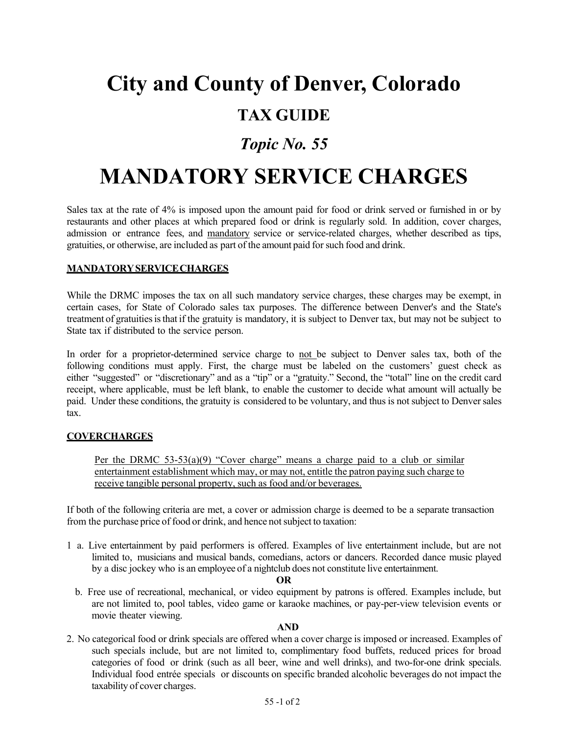# **City and County of Denver, Colorado**

## **TAX GUIDE**

### *Topic No. 55*

## **MANDATORY SERVICE CHARGES**

Sales tax at the rate of 4% is imposed upon the amount paid for food or drink served or furnished in or by restaurants and other places at which prepared food or drink is regularly sold. In addition, cover charges, admission or entrance fees, and mandatory service or service-related charges, whether described as tips, gratuities, or otherwise, are included as part of the amount paid forsuch food and drink.

#### **MANDATORYSERVICECHARGES**

While the DRMC imposes the tax on all such mandatory service charges, these charges may be exempt, in certain cases, for State of Colorado sales tax purposes. The difference between Denver's and the State's treatment of gratuities is that if the gratuity is mandatory, it is subject to Denver tax, but may not be subject to State tax if distributed to the service person.

In order for a proprietor-determined service charge to not be subject to Denver sales tax, both of the following conditions must apply. First, the charge must be labeled on the customers' guest check as either "suggested" or "discretionary" and as a "tip" or a "gratuity." Second, the "total" line on the credit card receipt, where applicable, must be left blank, to enable the customer to decide what amount will actually be paid. Under these conditions, the gratuity is considered to be voluntary, and thus is not subject to Denversales tax.

#### **COVERCHARGES**

Per the DRMC  $53-53(a)(9)$  "Cover charge" means a charge paid to a club or similar entertainment establishment which may, or may not, entitle the patron paying such charge to receive tangible personal property, such as food and/or beverages.

If both of the following criteria are met, a cover or admission charge is deemed to be a separate transaction from the purchase price of food or drink, and hence not subject to taxation:

1 a. Live entertainment by paid performers is offered. Examples of live entertainment include, but are not limited to, musicians and musical bands, comedians, actors or dancers. Recorded dance music played by a disc jockey who is an employee of a nightclub does not constitute live entertainment.

#### **OR**

b. Free use of recreational, mechanical, or video equipment by patrons is offered. Examples include, but are not limited to, pool tables, video game or karaoke machines, or pay-per-view television events or movie theater viewing.

#### **AND**

2. No categorical food or drink specials are offered when a cover charge is imposed or increased. Examples of such specials include, but are not limited to, complimentary food buffets, reduced prices for broad categories of food or drink (such as all beer, wine and well drinks), and two-for-one drink specials. Individual food entrée specials or discounts on specific branded alcoholic beverages do not impact the taxability of cover charges.